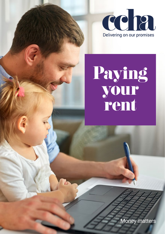

# Paying your rent

Money matters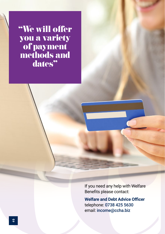"We will offer you a variety of payment methods and dates"

> If you need any help with Welfare Benefits please contact:

**Welfare and Debt Advice Officer** telephone: 0738 425 5630 email: [income@ccha.biz](mailto:income%40ccha.biz?subject=)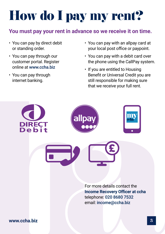# How do I pay my rent?

#### **You must pay your rent in advance so we receive it on time.**

- You can pay by direct debit or standing order.
- You can pay through our customer portal. Register online at www.ccha.biz
- You can pay through internet banking.
- You can pay with an allpay card at your local post office or paypoint.
- You can pay with a debit card over the phone using the CallPay system.
- If you are entitled to Housing Benefit or Universal Credit you are still responsible for making sure that we receive your full rent.

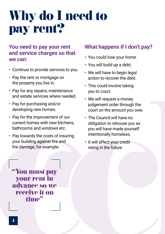### Why do I need to pay rent?

#### **You need to pay your rent and service charges so that we can:**

- Continue to provide services to you.
- Pay the rent or mortgage on the property you live in.
- Pay for any repairs, maintenance and estate services where needed.
- Pay for purchasing and/or developing new homes.
- Pay for the improvement of our current homes with new kitchens, bathrooms and windows etc.
- Pay towards the costs of insuring your building against fire and fire damage, for example.

### **What happens if I don't pay?**

- You could lose your home.
- You will build up a debt.
- We will have to begin legal action to recover the debt.
- This could involve taking you to court.
- We will request a money judgement order through the court on the amount you owe.
- The Council will have no obligation to rehouse you as you will have made yourself intentionally homeless.
- It will affect your credit rating in the future.

"You must pay your rent in advance so we receive it on time"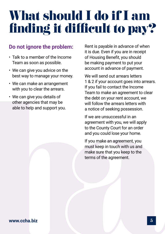### What should I do if I am finding it difficult to pay?

#### **Do not ignore the problem:**

- Talk to a member of the Income Team as soon as possible.
- We can give you advice on the best way to manage your money.
- We can make an arrangement with you to clear the arrears.
- We can give you details of other agencies that may be able to help and support you.

Rent is payable in advance of when it is due. Even if you are in receipt of Housing Benefit, you should be making payment to put your account in advance of payment.

We will send out arrears letters 1 & 2 if your account goes into arrears. If you fail to contact the Income Team to make an agreement to clear the debt on your rent account, we will follow the arrears letters with a notice of seeking possession.

If we are unsuccessful in an agreement with you, we will apply to the County Court for an order and you could lose your home.

If you make an agreement, you must keep in touch with us and make sure that you keep to the terms of the agreement.

#### **www.ccha.biz** 5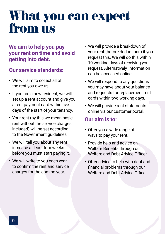### What you can expect from us

#### **We aim to help you pay your rent on time and avoid getting into debt.**

#### **Our service standards:**

- We will aim to collect all of the rent you owe us.
- If you are a new resident, we will set up a rent account and give you a rent payment card within five days of the start of your tenancy.
- Your rent (by this we mean basic rent without the service charges included) will be set according to the Government quidelines.
- We will tell you about any rent increase at least four weeks before you must start paying it.
- We will write to you each year to confirm the rent and service charges for the coming year.
- We will provide a breakdown of your rent (before deductions) if you request this. We will do this within 10 working days of receiving your request. Alternatively, information can be accessed online.
- We will respond to any questions you may have about your balance and requests for replacement rent cards within two working days.
- We will provide rent statements online via our customer portal.

#### **Our aim is to:**

- Offer you a wide range of ways to pay your rent.
- Provide help and advice on Welfare Benefits through our Welfare and Debt Advice Officer.
- Offer advice to help with debt and financial problems through our Welfare and Debt Advice Officer.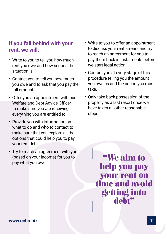#### **If you fall behind with your rent, we will:**

- Write to you to tell you how much rent you owe and how serious the situation is.
- Contact you to tell you how much you owe and to ask that you pay the full amount.
- Offer you an appointment with our Welfare and Debt Advice Officer to make sure you are receiving everything you are entitled to.
- Provide you with information on what to do and who to contact to make sure that you explore all the options that could help you to pay your rent debt.
- Try to reach an agreement with you (based on your income) for you to pay what you owe.
- Write to you to offer an appointment to discuss your rent arrears and try to reach an agreement for you to pay them back in instalments before we start legal action.
- Contact you at every stage of this procedure telling you the amount you owe us and the action you must take.
- Only take back possession of the property as a last resort once we have taken all other reasonable steps.

"We aim to help you pay your rent on time and avoid getting into debt"